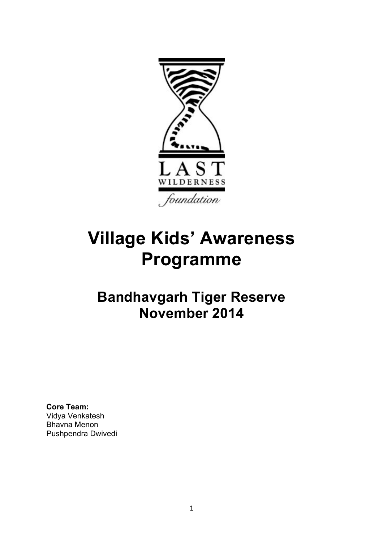

# **Village Kids' Awareness Programme**

## **Bandhavgarh Tiger Reserve November 2014**

**Core Team:**  Vidya Venkatesh Bhavna Menon Pushpendra Dwivedi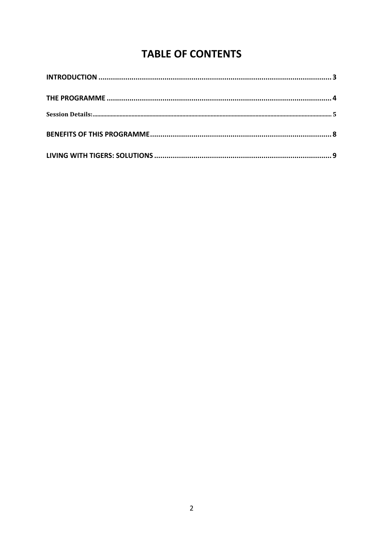## **TABLE OF CONTENTS**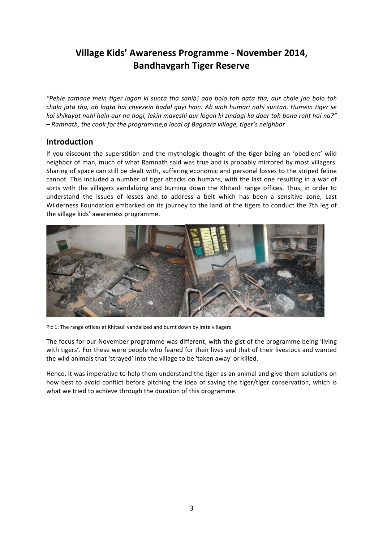### Village Kids' Awareness Programme - November 2014, **Bandhavgarh Tiger Reserve**

"Pehle zamane mein tiger logon ki sunta tha sahib! aao bolo toh aata tha, aur chale jao bolo toh chala jata tha, ab lagta hai cheezein badal gayi hain. Ab woh humari nahi suntan. Humein tiger se koi shikayat nahi hain aur na hogi, lekin maveshi aur logon ki zindagi ka daar toh bana reht hai na?" - Ramnath, the cook for the programme, a local of Bagdara village, tiger's neighbor

#### **Introduction**

If you discount the superstition and the mythologic thought of the tiger being an 'obedient' wild neighbor of man, much of what Ramnath said was true and is probably mirrored by most villagers. Sharing of space can still be dealt with, suffering economic and personal losses to the striped feline cannot. This included a number of tiger attacks on humans, with the last one resulting in a war of sorts with the villagers vandalizing and burning down the Khitauli range offices. Thus, in order to understand the issues of losses and to address a belt which has been a sensitive zone, Last Wilderness Foundation embarked on its journey to the land of the tigers to conduct the 7th leg of the village kids' awareness programme.



Pic 1: The range offices at Khitauli vandalized and burnt down by irate villagers

The focus for our November programme was different, with the gist of the programme being 'living with tigers'. For these were people who feared for their lives and that of their livestock and wanted the wild animals that 'strayed' into the village to be 'taken away' or killed.

Hence, it was imperative to help them understand the tiger as an animal and give them solutions on how best to avoid conflict before pitching the idea of saving the tiger/tiger conservation, which is what we tried to achieve through the duration of this programme.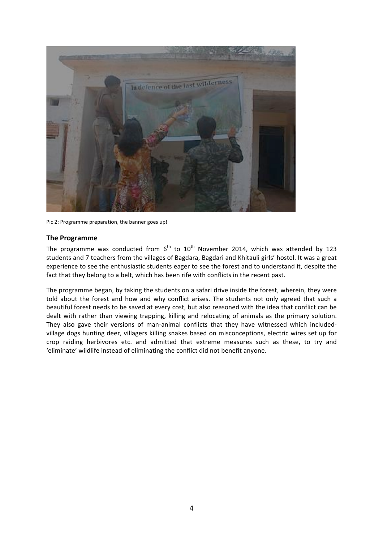

Pic 2: Programme preparation, the banner goes up!

#### **The Programme**

The programme was conducted from  $6^{th}$  to  $10^{th}$  November 2014, which was attended by 123 students and 7 teachers from the villages of Bagdara, Bagdari and Khitauli girls' hostel. It was a great experience to see the enthusiastic students eager to see the forest and to understand it, despite the fact that they belong to a belt, which has been rife with conflicts in the recent past.

The programme began, by taking the students on a safari drive inside the forest, wherein, they were told about the forest and how and why conflict arises. The students not only agreed that such a beautiful forest needs to be saved at every cost, but also reasoned with the idea that conflict can be dealt with rather than viewing trapping, killing and relocating of animals as the primary solution. They also gave their versions of man-animal conflicts that they have witnessed which includedvillage dogs hunting deer, villagers killing snakes based on misconceptions, electric wires set up for crop raiding herbivores etc. and admitted that extreme measures such as these, to try and 'eliminate' wildlife instead of eliminating the conflict did not benefit anyone.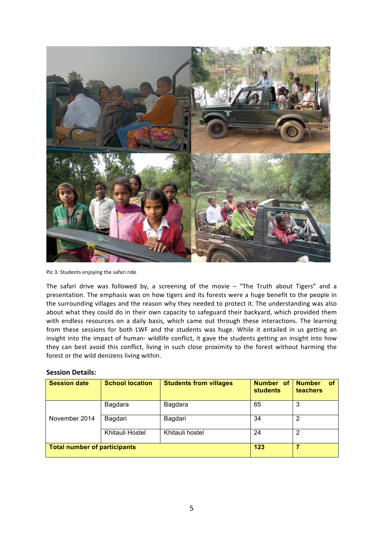

Pic 3: Students enjoying the safari ride

The safari drive was followed by, a screening of the movie  $-$  "The Truth about Tigers" and a presentation. The emphasis was on how tigers and its forests were a huge benefit to the people in the surrounding villages and the reason why they needed to protect it. The understanding was also about what they could do in their own capacity to safeguard their backyard, which provided them with endless resources on a daily basis, which came out through these interactions. The learning from these sessions for both LWF and the students was huge. While it entailed in us getting an insight into the impact of human- wildlife conflict, it gave the students getting an insight into how they can best avoid this conflict, living in such close proximity to the forest without harming the forest or the wild denizens living within.

#### **Session Details:**

| <b>Session date</b>                 | <b>School location</b> | <b>Students from villages</b> | Number of<br><b>students</b> | <b>Number</b><br><b>of</b><br>teachers |
|-------------------------------------|------------------------|-------------------------------|------------------------------|----------------------------------------|
| November 2014                       | Bagdara                | Bagdara                       | 65                           | 3                                      |
|                                     | Bagdari                | Bagdari                       | 34                           | 2                                      |
|                                     | Khitauli Hostel        | Khitauli hostel               | 24                           | 2                                      |
| <b>Total number of participants</b> |                        |                               | 123                          |                                        |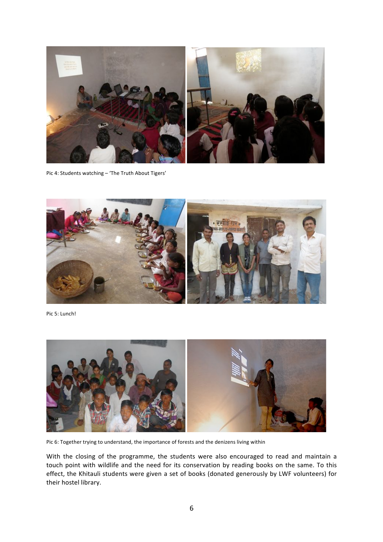

Pic 4: Students watching - 'The Truth About Tigers'



Pic 5: Lunch!



Pic 6: Together trying to understand, the importance of forests and the denizens living within

With the closing of the programme, the students were also encouraged to read and maintain a touch point with wildlife and the need for its conservation by reading books on the same. To this effect, the Khitauli students were given a set of books (donated generously by LWF volunteers) for their hostel library.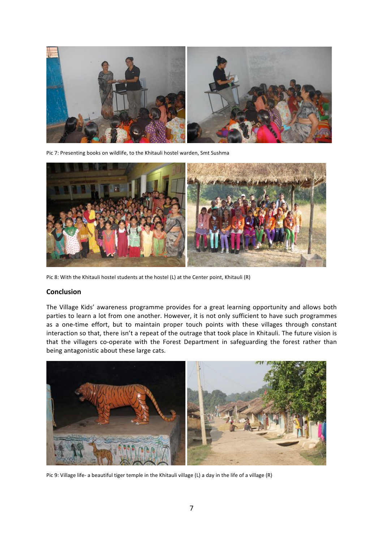

Pic 7: Presenting books on wildlife, to the Khitauli hostel warden, Smt Sushma



Pic 8: With the Khitauli hostel students at the hostel (L) at the Center point, Khitauli (R)

#### **Conclusion**

The Village Kids' awareness programme provides for a great learning opportunity and allows both parties to learn a lot from one another. However, it is not only sufficient to have such programmes as a one-time effort, but to maintain proper touch points with these villages through constant interaction so that, there isn't a repeat of the outrage that took place in Khitauli. The future vision is that the villagers co-operate with the Forest Department in safeguarding the forest rather than being antagonistic about these large cats.



Pic 9: Village life- a beautiful tiger temple in the Khitauli village (L) a day in the life of a village (R)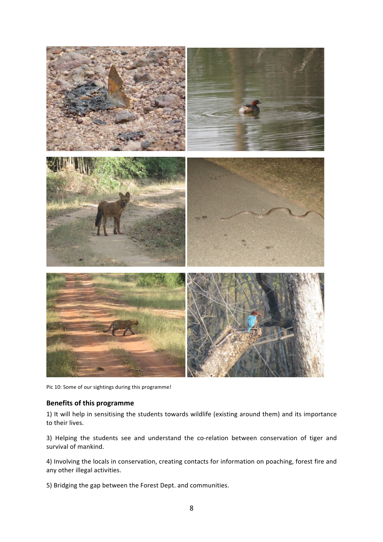

Pic 10: Some of our sightings during this programme!

#### **Benefits of this programme**

1) It will help in sensitising the students towards wildlife (existing around them) and its importance to their lives.

3) Helping the students see and understand the co-relation between conservation of tiger and survival of mankind.

4) Involving the locals in conservation, creating contacts for information on poaching, forest fire and any other illegal activities.

5) Bridging the gap between the Forest Dept. and communities.